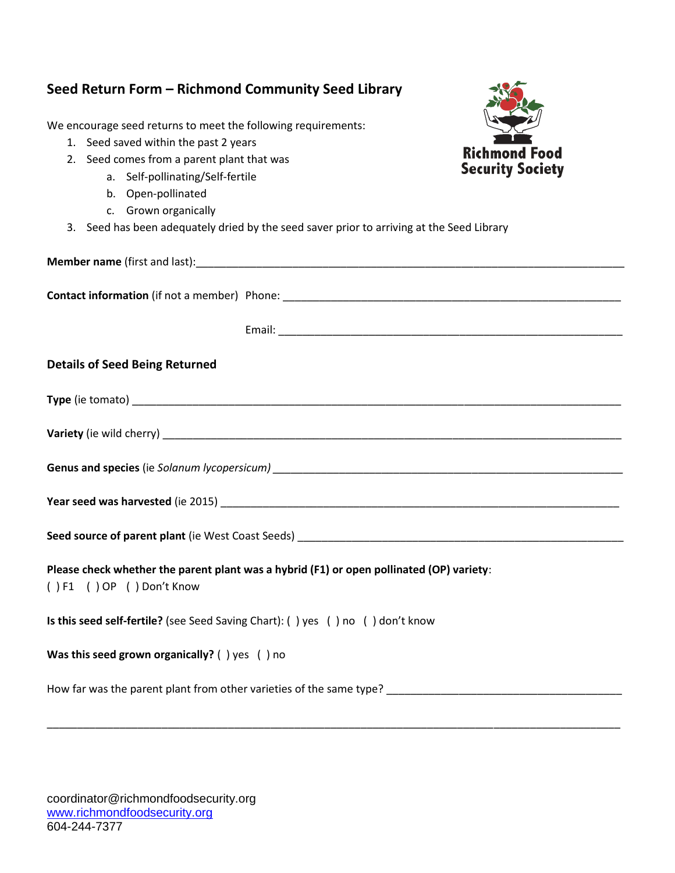| Seed Return Form - Richmond Community Seed Library                                                                                                                                                                                                                                                                                  |                                                 |
|-------------------------------------------------------------------------------------------------------------------------------------------------------------------------------------------------------------------------------------------------------------------------------------------------------------------------------------|-------------------------------------------------|
| We encourage seed returns to meet the following requirements:<br>1. Seed saved within the past 2 years<br>2. Seed comes from a parent plant that was<br>a. Self-pollinating/Self-fertile<br>b. Open-pollinated<br>c. Grown organically<br>3. Seed has been adequately dried by the seed saver prior to arriving at the Seed Library | <b>Richmond Food</b><br><b>Security Society</b> |
|                                                                                                                                                                                                                                                                                                                                     |                                                 |
|                                                                                                                                                                                                                                                                                                                                     |                                                 |
|                                                                                                                                                                                                                                                                                                                                     |                                                 |
| <b>Details of Seed Being Returned</b>                                                                                                                                                                                                                                                                                               |                                                 |
|                                                                                                                                                                                                                                                                                                                                     |                                                 |
|                                                                                                                                                                                                                                                                                                                                     |                                                 |
|                                                                                                                                                                                                                                                                                                                                     |                                                 |
|                                                                                                                                                                                                                                                                                                                                     |                                                 |
|                                                                                                                                                                                                                                                                                                                                     |                                                 |
| Please check whether the parent plant was a hybrid (F1) or open pollinated (OP) variety:<br>()F1 ()OP ()Don't Know                                                                                                                                                                                                                  |                                                 |
| Is this seed self-fertile? (see Seed Saving Chart): ( ) yes ( ) no ( ) don't know                                                                                                                                                                                                                                                   |                                                 |
| Was this seed grown organically? () yes () no                                                                                                                                                                                                                                                                                       |                                                 |
|                                                                                                                                                                                                                                                                                                                                     |                                                 |

\_\_\_\_\_\_\_\_\_\_\_\_\_\_\_\_\_\_\_\_\_\_\_\_\_\_\_\_\_\_\_\_\_\_\_\_\_\_\_\_\_\_\_\_\_\_\_\_\_\_\_\_\_\_\_\_\_\_\_\_\_\_\_\_\_\_\_\_\_\_\_\_\_\_\_\_\_\_\_\_\_\_\_\_\_\_\_\_\_\_\_\_\_\_\_

coordinator@richmondfoodsecurity.org [www.richmondfoodsecurity.org](http://www.richmondfoodsecurity.org/) 604-244-7377